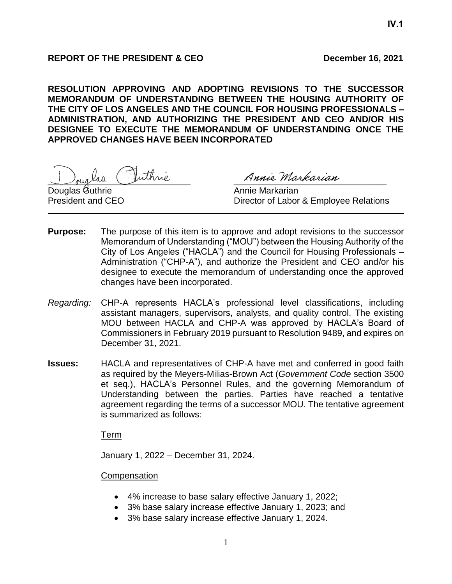## **REPORT OF THE PRESIDENT & CEO December 16, 2021**

**RESOLUTION APPROVING AND ADOPTING REVISIONS TO THE SUCCESSOR MEMORANDUM OF UNDERSTANDING BETWEEN THE HOUSING AUTHORITY OF THE CITY OF LOS ANGELES AND THE COUNCIL FOR HOUSING PROFESSIONALS – ADMINISTRATION, AND AUTHORIZING THE PRESIDENT AND CEO AND/OR HIS DESIGNEE TO EXECUTE THE MEMORANDUM OF UNDERSTANDING ONCE THE APPROVED CHANGES HAVE BEEN INCORPORATED**

Douglas Guthrie **Annie Markarian** 

uthrie Annie Markarian

President and CEO **Director of Labor & Employee Relations** 

- **Purpose:** The purpose of this item is to approve and adopt revisions to the successor Memorandum of Understanding ("MOU") between the Housing Authority of the City of Los Angeles ("HACLA") and the Council for Housing Professionals – Administration ("CHP-A"), and authorize the President and CEO and/or his designee to execute the memorandum of understanding once the approved changes have been incorporated.
- *Regarding:* CHP-A represents HACLA's professional level classifications, including assistant managers, supervisors, analysts, and quality control. The existing MOU between HACLA and CHP-A was approved by HACLA's Board of Commissioners in February 2019 pursuant to Resolution 9489, and expires on December 31, 2021.
- **Issues:** HACLA and representatives of CHP-A have met and conferred in good faith as required by the Meyers-Milias-Brown Act (*Government Code* section 3500 et seq.), HACLA's Personnel Rules, and the governing Memorandum of Understanding between the parties. Parties have reached a tentative agreement regarding the terms of a successor MOU. The tentative agreement is summarized as follows:

## Term

January 1, 2022 – December 31, 2024.

## **Compensation**

- 4% increase to base salary effective January 1, 2022;
- 3% base salary increase effective January 1, 2023; and
- 3% base salary increase effective January 1, 2024.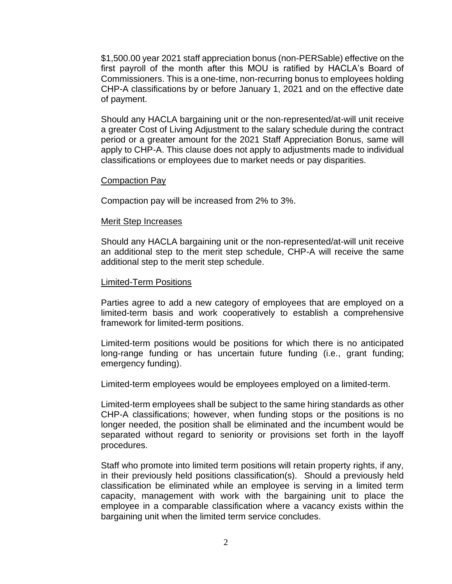\$1,500.00 year 2021 staff appreciation bonus (non-PERSable) effective on the first payroll of the month after this MOU is ratified by HACLA's Board of Commissioners. This is a one-time, non-recurring bonus to employees holding CHP-A classifications by or before January 1, 2021 and on the effective date of payment.

Should any HACLA bargaining unit or the non-represented/at-will unit receive a greater Cost of Living Adjustment to the salary schedule during the contract period or a greater amount for the 2021 Staff Appreciation Bonus, same will apply to CHP-A. This clause does not apply to adjustments made to individual classifications or employees due to market needs or pay disparities.

#### Compaction Pay

Compaction pay will be increased from 2% to 3%.

#### Merit Step Increases

Should any HACLA bargaining unit or the non-represented/at-will unit receive an additional step to the merit step schedule, CHP-A will receive the same additional step to the merit step schedule.

#### Limited-Term Positions

Parties agree to add a new category of employees that are employed on a limited-term basis and work cooperatively to establish a comprehensive framework for limited-term positions.

Limited-term positions would be positions for which there is no anticipated long-range funding or has uncertain future funding (i.e., grant funding; emergency funding).

Limited-term employees would be employees employed on a limited-term.

Limited-term employees shall be subject to the same hiring standards as other CHP-A classifications; however, when funding stops or the positions is no longer needed, the position shall be eliminated and the incumbent would be separated without regard to seniority or provisions set forth in the layoff procedures.

Staff who promote into limited term positions will retain property rights, if any, in their previously held positions classification(s). Should a previously held classification be eliminated while an employee is serving in a limited term capacity, management with work with the bargaining unit to place the employee in a comparable classification where a vacancy exists within the bargaining unit when the limited term service concludes.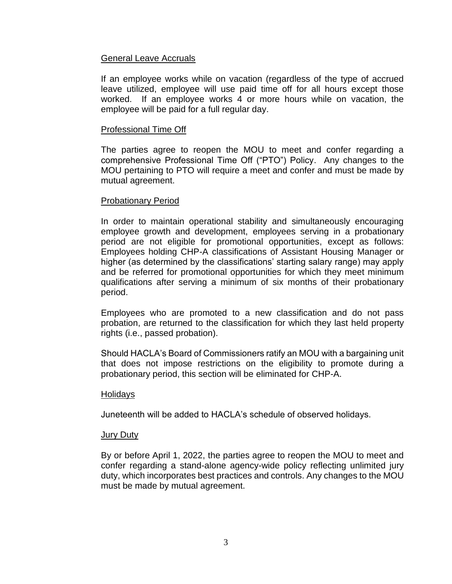## General Leave Accruals

If an employee works while on vacation (regardless of the type of accrued leave utilized, employee will use paid time off for all hours except those worked. If an employee works 4 or more hours while on vacation, the employee will be paid for a full regular day.

## Professional Time Off

The parties agree to reopen the MOU to meet and confer regarding a comprehensive Professional Time Off ("PTO") Policy. Any changes to the MOU pertaining to PTO will require a meet and confer and must be made by mutual agreement.

## Probationary Period

In order to maintain operational stability and simultaneously encouraging employee growth and development, employees serving in a probationary period are not eligible for promotional opportunities, except as follows: Employees holding CHP-A classifications of Assistant Housing Manager or higher (as determined by the classifications' starting salary range) may apply and be referred for promotional opportunities for which they meet minimum qualifications after serving a minimum of six months of their probationary period.

Employees who are promoted to a new classification and do not pass probation, are returned to the classification for which they last held property rights (i.e., passed probation).

Should HACLA's Board of Commissioners ratify an MOU with a bargaining unit that does not impose restrictions on the eligibility to promote during a probationary period, this section will be eliminated for CHP-A.

## **Holidays**

Juneteenth will be added to HACLA's schedule of observed holidays.

## Jury Duty

By or before April 1, 2022, the parties agree to reopen the MOU to meet and confer regarding a stand-alone agency-wide policy reflecting unlimited jury duty, which incorporates best practices and controls. Any changes to the MOU must be made by mutual agreement.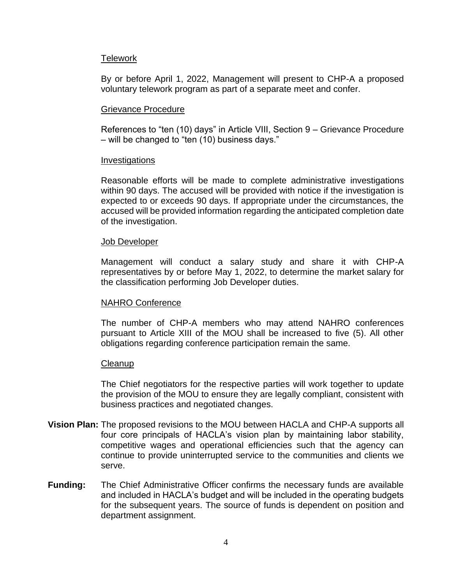## **Telework**

By or before April 1, 2022, Management will present to CHP-A a proposed voluntary telework program as part of a separate meet and confer.

## Grievance Procedure

References to "ten (10) days" in Article VIII, Section 9 – Grievance Procedure – will be changed to "ten (10) business days."

#### **Investigations**

Reasonable efforts will be made to complete administrative investigations within 90 days. The accused will be provided with notice if the investigation is expected to or exceeds 90 days. If appropriate under the circumstances, the accused will be provided information regarding the anticipated completion date of the investigation.

#### Job Developer

Management will conduct a salary study and share it with CHP-A representatives by or before May 1, 2022, to determine the market salary for the classification performing Job Developer duties.

## NAHRO Conference

The number of CHP-A members who may attend NAHRO conferences pursuant to Article XIII of the MOU shall be increased to five (5). All other obligations regarding conference participation remain the same.

## Cleanup

The Chief negotiators for the respective parties will work together to update the provision of the MOU to ensure they are legally compliant, consistent with business practices and negotiated changes.

- **Vision Plan:** The proposed revisions to the MOU between HACLA and CHP-A supports all four core principals of HACLA's vision plan by maintaining labor stability, competitive wages and operational efficiencies such that the agency can continue to provide uninterrupted service to the communities and clients we serve.
- **Funding:** The Chief Administrative Officer confirms the necessary funds are available and included in HACLA's budget and will be included in the operating budgets for the subsequent years. The source of funds is dependent on position and department assignment.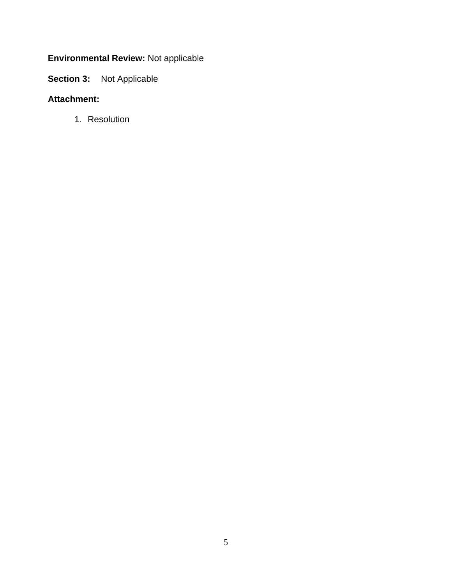# **Environmental Review:** Not applicable

**Section 3:** Not Applicable

## **Attachment:**

1. Resolution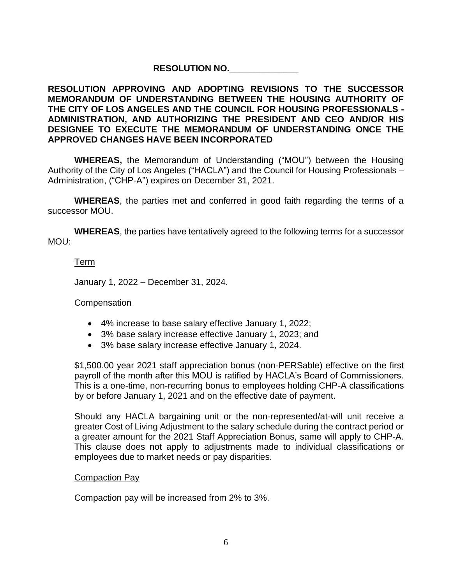## **RESOLUTION NO.\_\_\_\_\_\_\_\_\_\_\_\_\_\_**

## **RESOLUTION APPROVING AND ADOPTING REVISIONS TO THE SUCCESSOR MEMORANDUM OF UNDERSTANDING BETWEEN THE HOUSING AUTHORITY OF THE CITY OF LOS ANGELES AND THE COUNCIL FOR HOUSING PROFESSIONALS - ADMINISTRATION, AND AUTHORIZING THE PRESIDENT AND CEO AND/OR HIS DESIGNEE TO EXECUTE THE MEMORANDUM OF UNDERSTANDING ONCE THE APPROVED CHANGES HAVE BEEN INCORPORATED**

**WHEREAS,** the Memorandum of Understanding ("MOU") between the Housing Authority of the City of Los Angeles ("HACLA") and the Council for Housing Professionals – Administration, ("CHP-A") expires on December 31, 2021.

**WHEREAS**, the parties met and conferred in good faith regarding the terms of a successor MOU.

**WHEREAS**, the parties have tentatively agreed to the following terms for a successor MOU:

## Term

January 1, 2022 – December 31, 2024.

## **Compensation**

- 4% increase to base salary effective January 1, 2022;
- 3% base salary increase effective January 1, 2023; and
- 3% base salary increase effective January 1, 2024.

\$1,500.00 year 2021 staff appreciation bonus (non-PERSable) effective on the first payroll of the month after this MOU is ratified by HACLA's Board of Commissioners. This is a one-time, non-recurring bonus to employees holding CHP-A classifications by or before January 1, 2021 and on the effective date of payment.

Should any HACLA bargaining unit or the non-represented/at-will unit receive a greater Cost of Living Adjustment to the salary schedule during the contract period or a greater amount for the 2021 Staff Appreciation Bonus, same will apply to CHP-A. This clause does not apply to adjustments made to individual classifications or employees due to market needs or pay disparities.

## Compaction Pay

Compaction pay will be increased from 2% to 3%.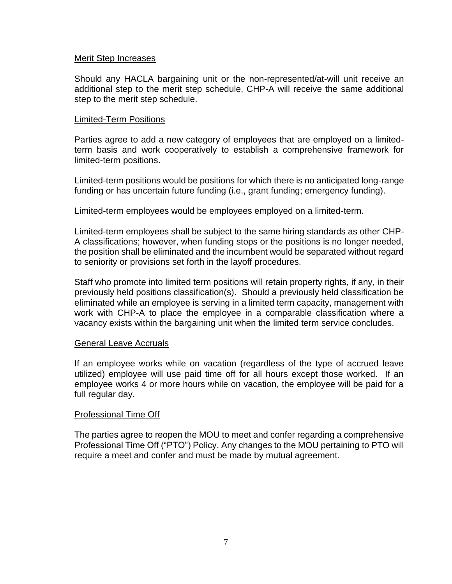## Merit Step Increases

Should any HACLA bargaining unit or the non-represented/at-will unit receive an additional step to the merit step schedule, CHP-A will receive the same additional step to the merit step schedule.

## Limited-Term Positions

Parties agree to add a new category of employees that are employed on a limitedterm basis and work cooperatively to establish a comprehensive framework for limited-term positions.

Limited-term positions would be positions for which there is no anticipated long-range funding or has uncertain future funding (i.e., grant funding; emergency funding).

Limited-term employees would be employees employed on a limited-term.

Limited-term employees shall be subject to the same hiring standards as other CHP-A classifications; however, when funding stops or the positions is no longer needed, the position shall be eliminated and the incumbent would be separated without regard to seniority or provisions set forth in the layoff procedures.

Staff who promote into limited term positions will retain property rights, if any, in their previously held positions classification(s). Should a previously held classification be eliminated while an employee is serving in a limited term capacity, management with work with CHP-A to place the employee in a comparable classification where a vacancy exists within the bargaining unit when the limited term service concludes.

## General Leave Accruals

If an employee works while on vacation (regardless of the type of accrued leave utilized) employee will use paid time off for all hours except those worked. If an employee works 4 or more hours while on vacation, the employee will be paid for a full regular day.

## Professional Time Off

The parties agree to reopen the MOU to meet and confer regarding a comprehensive Professional Time Off ("PTO") Policy. Any changes to the MOU pertaining to PTO will require a meet and confer and must be made by mutual agreement.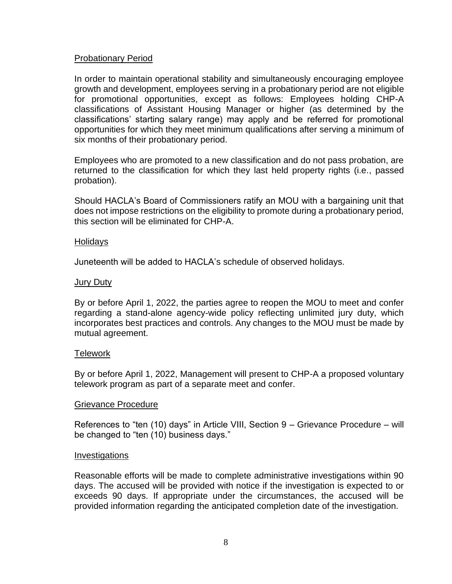## Probationary Period

In order to maintain operational stability and simultaneously encouraging employee growth and development, employees serving in a probationary period are not eligible for promotional opportunities, except as follows: Employees holding CHP-A classifications of Assistant Housing Manager or higher (as determined by the classifications' starting salary range) may apply and be referred for promotional opportunities for which they meet minimum qualifications after serving a minimum of six months of their probationary period.

Employees who are promoted to a new classification and do not pass probation, are returned to the classification for which they last held property rights (i.e., passed probation).

Should HACLA's Board of Commissioners ratify an MOU with a bargaining unit that does not impose restrictions on the eligibility to promote during a probationary period, this section will be eliminated for CHP-A.

#### **Holidays**

Juneteenth will be added to HACLA's schedule of observed holidays.

## **Jury Duty**

By or before April 1, 2022, the parties agree to reopen the MOU to meet and confer regarding a stand-alone agency-wide policy reflecting unlimited jury duty, which incorporates best practices and controls. Any changes to the MOU must be made by mutual agreement.

## Telework

By or before April 1, 2022, Management will present to CHP-A a proposed voluntary telework program as part of a separate meet and confer.

## Grievance Procedure

References to "ten (10) days" in Article VIII, Section 9 – Grievance Procedure – will be changed to "ten (10) business days."

## Investigations

Reasonable efforts will be made to complete administrative investigations within 90 days. The accused will be provided with notice if the investigation is expected to or exceeds 90 days. If appropriate under the circumstances, the accused will be provided information regarding the anticipated completion date of the investigation.